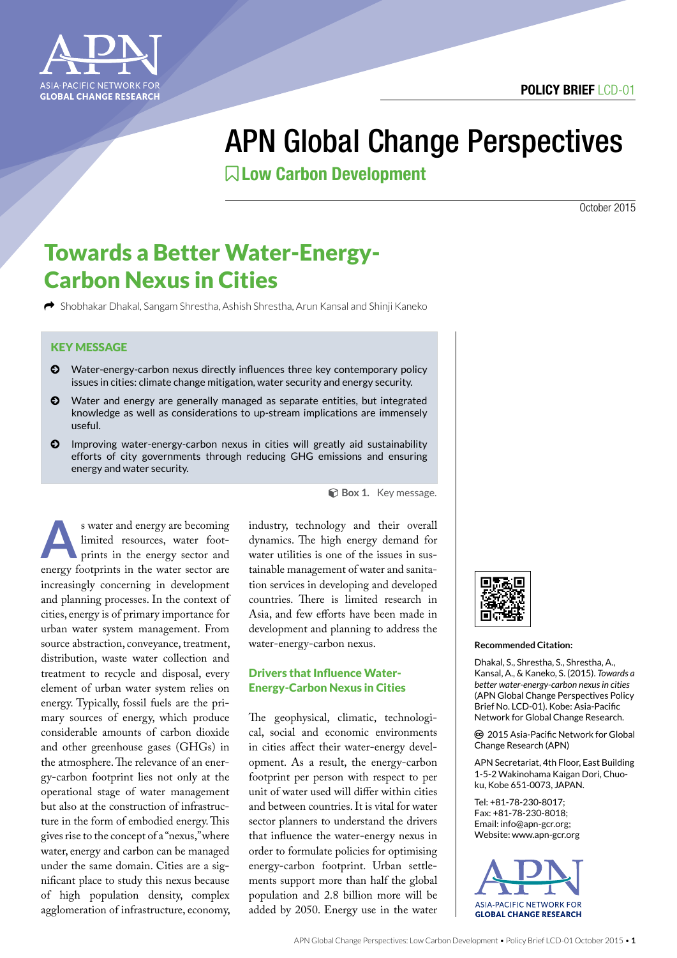

# APN Global Change Perspectives

Low Carbon Development

October 2015

## Towards a Better Water-Energy-Carbon Nexus in Cities

k Shobhakar Dhakal, Sangam Shrestha, Ashish Shrestha, Arun Kansal and Shinji Kaneko

### KEY MESSAGE

- © Water-energy-carbon nexus directly influences three key contemporary policy issues in cities: climate change mitigation, water security and energy security.
- © Water and energy are generally managed as separate entities, but integrated knowledge as well as considerations to up-stream implications are immensely useful.
- © Improving water-energy-carbon nexus in cities will greatly aid sustainability efforts of city governments through reducing GHG emissions and ensuring energy and water security.

**A**s water and energy are becoming limited resources, water footprints in the energy sector and energy footprints in the water sector are increasingly concerning in development and planning processes. In the context of cities, energy is of primary importance for urban water system management. From source abstraction, conveyance, treatment, distribution, waste water collection and treatment to recycle and disposal, every element of urban water system relies on energy. Typically, fossil fuels are the primary sources of energy, which produce considerable amounts of carbon dioxide and other greenhouse gases (GHGs) in the atmosphere. The relevance of an energy-carbon footprint lies not only at the operational stage of water management but also at the construction of infrastructure in the form of embodied energy. This gives rise to the concept of a "nexus," where water, energy and carbon can be managed under the same domain. Cities are a significant place to study this nexus because of high population density, complex agglomeration of infrastructure, economy,

**Box 1.** Key message.

industry, technology and their overall dynamics. The high energy demand for water utilities is one of the issues in sustainable management of water and sanitation services in developing and developed countries. There is limited research in Asia, and few efforts have been made in development and planning to address the water-energy-carbon nexus.

### Drivers that Influence Water-Energy-Carbon Nexus in Cities

The geophysical, climatic, technological, social and economic environments in cities affect their water-energy development. As a result, the energy-carbon footprint per person with respect to per unit of water used will differ within cities and between countries. It is vital for water sector planners to understand the drivers that influence the water-energy nexus in order to formulate policies for optimising energy-carbon footprint. Urban settlements support more than half the global population and 2.8 billion more will be added by 2050. Energy use in the water



#### **Recommended Citation:**

Dhakal, S., Shrestha, S., Shrestha, A., Kansal, A., & Kaneko, S. (2015). *Towards a better water-energy-carbon nexus in cities*  (APN Global Change Perspectives Policy Brief No. LCD-01). Kobe: Asia-Pacific Network for Global Change Research.

ȹ 2015 Asia-Pacific Network for Global Change Research (APN)

APN Secretariat, 4th Floor, East Building 1-5-2 Wakinohama Kaigan Dori, Chuoku, Kobe 651-0073, JAPAN.

Tel: +81-78-230-8017; Fax: +81-78-230-8018; Email: info@apn-gcr.org; Website: www.apn-gcr.org

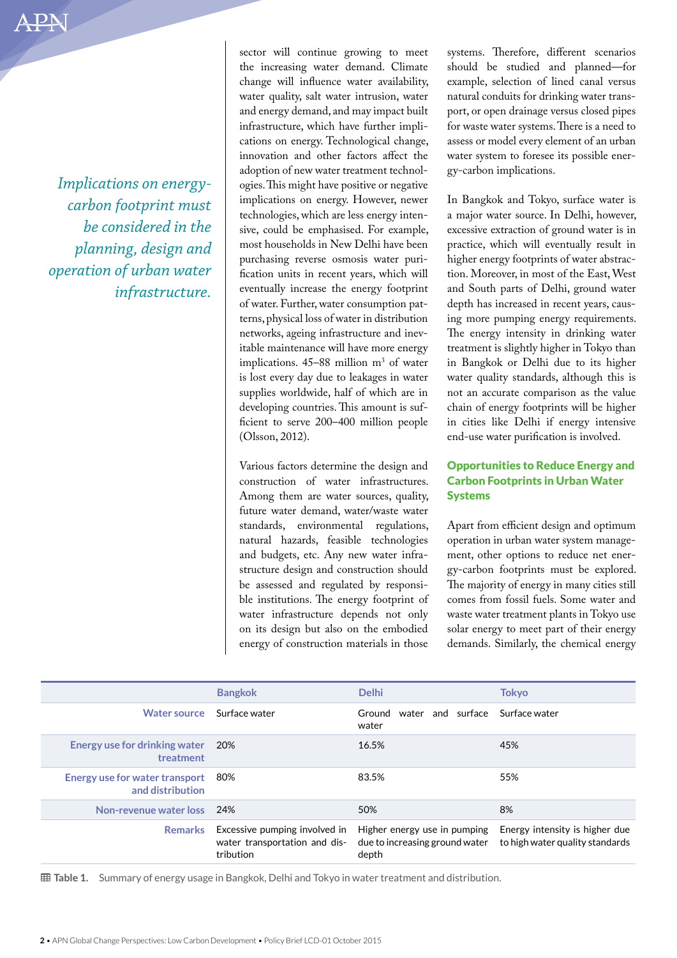*Implications on energycarbon footprint must be considered in the planning, design and operation of urban water infrastructure.*

sector will continue growing to meet the increasing water demand. Climate change will influence water availability, water quality, salt water intrusion, water and energy demand, and may impact built infrastructure, which have further implications on energy. Technological change, innovation and other factors affect the adoption of new water treatment technologies. This might have positive or negative implications on energy. However, newer technologies, which are less energy intensive, could be emphasised. For example, most households in New Delhi have been purchasing reverse osmosis water purification units in recent years, which will eventually increase the energy footprint of water. Further, water consumption patterns, physical loss of water in distribution networks, ageing infrastructure and inevitable maintenance will have more energy implications.  $45-88$  million  $m<sup>3</sup>$  of water is lost every day due to leakages in water supplies worldwide, half of which are in developing countries. This amount is sufficient to serve 200–400 million people (Olsson, 2012).

Various factors determine the design and construction of water infrastructures. Among them are water sources, quality, future water demand, water/waste water standards, environmental regulations, natural hazards, feasible technologies and budgets, etc. Any new water infrastructure design and construction should be assessed and regulated by responsible institutions. The energy footprint of water infrastructure depends not only on its design but also on the embodied energy of construction materials in those

systems. Therefore, different scenarios should be studied and planned—for example, selection of lined canal versus natural conduits for drinking water transport, or open drainage versus closed pipes for waste water systems. There is a need to assess or model every element of an urban water system to foresee its possible energy-carbon implications.

In Bangkok and Tokyo, surface water is a major water source. In Delhi, however, excessive extraction of ground water is in practice, which will eventually result in higher energy footprints of water abstraction. Moreover, in most of the East, West and South parts of Delhi, ground water depth has increased in recent years, causing more pumping energy requirements. The energy intensity in drinking water treatment is slightly higher in Tokyo than in Bangkok or Delhi due to its higher water quality standards, although this is not an accurate comparison as the value chain of energy footprints will be higher in cities like Delhi if energy intensive end-use water purification is involved.

### Opportunities to Reduce Energy and Carbon Footprints in Urban Water Systems

Apart from efficient design and optimum operation in urban water system management, other options to reduce net energy-carbon footprints must be explored. The majority of energy in many cities still comes from fossil fuels. Some water and waste water treatment plants in Tokyo use solar energy to meet part of their energy demands. Similarly, the chemical energy

|                                                           | <b>Bangkok</b>                                                              | <b>Delhi</b>                                                            | Tokyo                                                             |
|-----------------------------------------------------------|-----------------------------------------------------------------------------|-------------------------------------------------------------------------|-------------------------------------------------------------------|
| Water source                                              | Surface water                                                               | water and surface<br>Ground<br>water                                    | Surface water                                                     |
| Energy use for drinking water<br>treatment                | 20%                                                                         | 16.5%                                                                   | 45%                                                               |
| <b>Energy use for water transport</b><br>and distribution | -80%                                                                        | 83.5%                                                                   | 55%                                                               |
| Non-revenue water loss 24%                                |                                                                             | 50%                                                                     | 8%                                                                |
| <b>Remarks</b>                                            | Excessive pumping involved in<br>water transportation and dis-<br>tribution | Higher energy use in pumping<br>due to increasing ground water<br>depth | Energy intensity is higher due<br>to high water quality standards |

Ã **Table 1.** Summary of energy usage in Bangkok, Delhi and Tokyo in water treatment and distribution.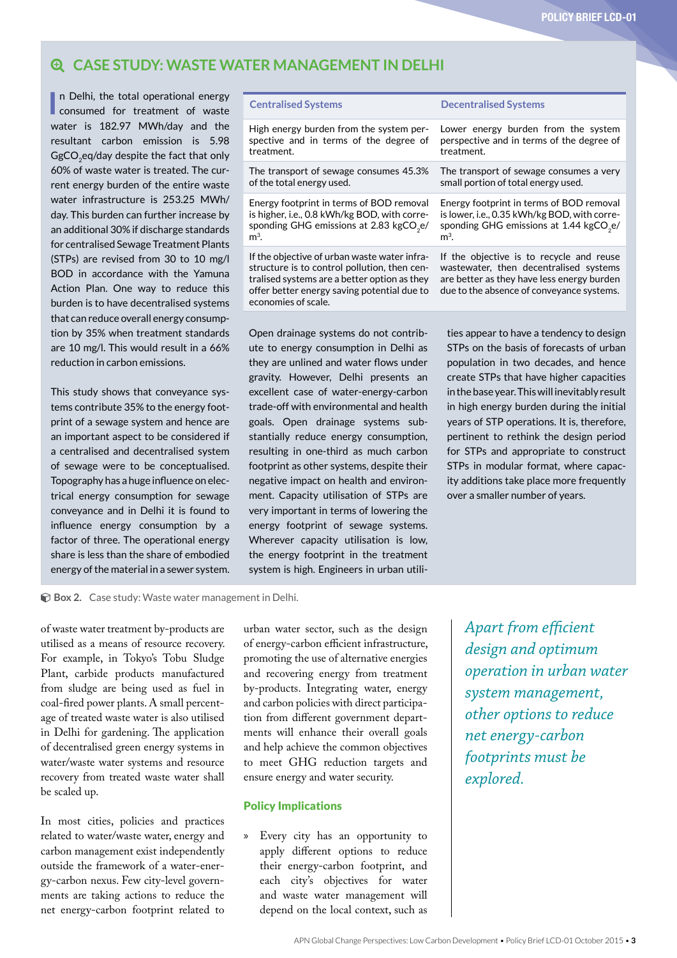### **CASE STUDY: WASTE WATER MANAGEMENT IN DELHI**

treatment.

of the total energy used.

In Delhi, the total operational energy<br>
consumed for treatment of waste n Delhi, the total operational energy water is 182.97 MWh/day and the resultant carbon emission is 5.98 GgCO<sub>2</sub>eq/day despite the fact that only 60% of waste water is treated. The current energy burden of the entire waste water infrastructure is 253.25 MWh/ day. This burden can further increase by an additional 30% if discharge standards for centralised Sewage Treatment Plants (STPs) are revised from 30 to 10 mg/l BOD in accordance with the Yamuna Action Plan. One way to reduce this burden is to have decentralised systems that can reduce overall energy consumption by 35% when treatment standards are 10 mg/l. This would result in a 66% reduction in carbon emissions.

This study shows that conveyance systems contribute 35% to the energy footprint of a sewage system and hence are an important aspect to be considered if a centralised and decentralised system of sewage were to be conceptualised. Topography has a huge influence on electrical energy consumption for sewage conveyance and in Delhi it is found to influence energy consumption by a factor of three. The operational energy share is less than the share of embodied energy of the material in a sewer system.

is higher, i.e., 0.8 kWh/kg BOD, with corresponding GHG emissions at 2.83 kgCO<sub>2</sub>e/

 $m<sup>3</sup>$ 

If the objective of urban waste water infrastructure is to control pollution, then centralised systems are a better option as they offer better energy saving potential due to economies of scale.

High energy burden from the system perspective and in terms of the degree of

The transport of sewage consumes 45.3%

Energy footprint in terms of BOD removal

Open drainage systems do not contribute to energy consumption in Delhi as they are unlined and water flows under gravity. However, Delhi presents an excellent case of water-energy-carbon trade-off with environmental and health goals. Open drainage systems substantially reduce energy consumption, resulting in one-third as much carbon footprint as other systems, despite their negative impact on health and environment. Capacity utilisation of STPs are very important in terms of lowering the energy footprint of sewage systems. Wherever capacity utilisation is low, the energy footprint in the treatment system is high. Engineers in urban utili-

**Centralised Systems Decentralised Systems**

Lower energy burden from the system perspective and in terms of the degree of treatment.

The transport of sewage consumes a very small portion of total energy used.

Energy footprint in terms of BOD removal is lower, i.e., 0.35 kWh/kg BOD, with corresponding GHG emissions at  $1.44 \text{ kgCO}_{2}e/$  $m<sup>3</sup>$ 

If the objective is to recycle and reuse wastewater, then decentralised systems are better as they have less energy burden due to the absence of conveyance systems.

ties appear to have a tendency to design STPs on the basis of forecasts of urban population in two decades, and hence create STPs that have higher capacities in the base year. This will inevitably result in high energy burden during the initial years of STP operations. It is, therefore, pertinent to rethink the design period for STPs and appropriate to construct STPs in modular format, where capacity additions take place more frequently over a smaller number of years.

Ɨ **Box 2.** Case study: Waste water management in Delhi.

of waste water treatment by-products are utilised as a means of resource recovery. For example, in Tokyo's Tobu Sludge Plant, carbide products manufactured from sludge are being used as fuel in coal-fired power plants. A small percentage of treated waste water is also utilised in Delhi for gardening. The application of decentralised green energy systems in water/waste water systems and resource recovery from treated waste water shall be scaled up.

In most cities, policies and practices related to water/waste water, energy and carbon management exist independently outside the framework of a water-energy-carbon nexus. Few city-level governments are taking actions to reduce the net energy-carbon footprint related to urban water sector, such as the design of energy-carbon efficient infrastructure, promoting the use of alternative energies and recovering energy from treatment by-products. Integrating water, energy and carbon policies with direct participation from different government departments will enhance their overall goals and help achieve the common objectives to meet GHG reduction targets and ensure energy and water security.

### Policy Implications

Every city has an opportunity to apply different options to reduce their energy-carbon footprint, and each city's objectives for water and waste water management will depend on the local context, such as

*Apart from efficient design and optimum operation in urban water system management, other options to reduce net energy-carbon footprints must be explored.*